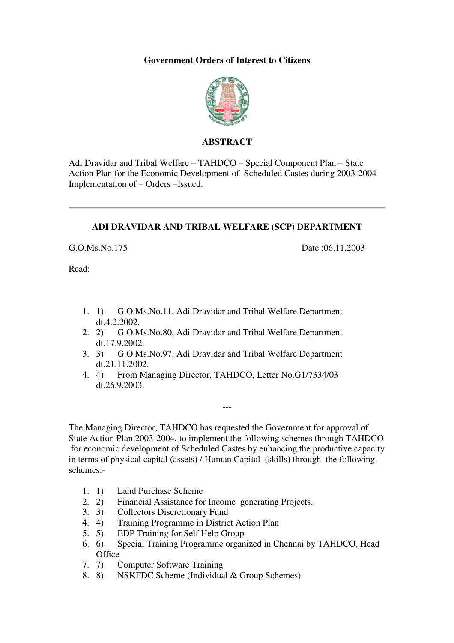#### **Government Orders of Interest to Citizens**



#### **ABSTRACT**

Adi Dravidar and Tribal Welfare – TAHDCO – Special Component Plan – State Action Plan for the Economic Development of Scheduled Castes during 2003-2004- Implementation of – Orders –Issued.

#### **ADI DRAVIDAR AND TRIBAL WELFARE (SCP) DEPARTMENT**

G.O.Ms.No.175 Date :06.11.2003

Read:

- 1. 1) G.O.Ms.No.11, Adi Dravidar and Tribal Welfare Department dt.4.2.2002.
- 2. 2) G.O.Ms.No.80, Adi Dravidar and Tribal Welfare Department dt.17.9.2002.
- 3. 3) G.O.Ms.No.97, Adi Dravidar and Tribal Welfare Department dt.21.11.2002.
- 4. 4) From Managing Director, TAHDCO, Letter No.G1/7334/03 dt.26.9.2003.

The Managing Director, TAHDCO has requested the Government for approval of State Action Plan 2003-2004, to implement the following schemes through TAHDCO for economic development of Scheduled Castes by enhancing the productive capacity in terms of physical capital (assets) / Human Capital (skills) through the following schemes:-

---

- 1. 1) Land Purchase Scheme<br>2. 2) Financial Assistance for
- Financial Assistance for Income generating Projects.
- 3. 3) Collectors Discretionary Fund<br>4. 4) Training Programme in Distric
- 4. 4) Training Programme in District Action Plan
- 5. 5) EDP Training for Self Help Group
- 6. 6) Special Training Programme organized in Chennai by TAHDCO, Head **Office**
- 7. 7) Computer Software Training
- 8. 8) NSKFDC Scheme (Individual & Group Schemes)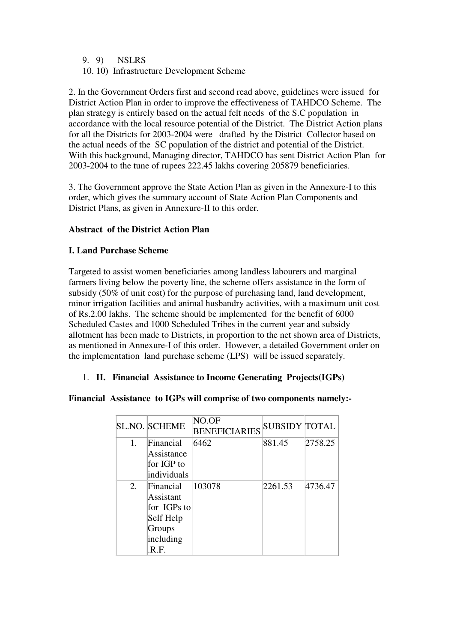- 9. 9) NSLRS
- 10. 10) Infrastructure Development Scheme

2. In the Government Orders first and second read above, guidelines were issued for District Action Plan in order to improve the effectiveness of TAHDCO Scheme. The plan strategy is entirely based on the actual felt needs of the S.C population in accordance with the local resource potential of the District. The District Action plans for all the Districts for 2003-2004 were drafted by the District Collector based on the actual needs of the SC population of the district and potential of the District. With this background, Managing director, TAHDCO has sent District Action Plan for 2003-2004 to the tune of rupees 222.45 lakhs covering 205879 beneficiaries.

3. The Government approve the State Action Plan as given in the Annexure-I to this order, which gives the summary account of State Action Plan Components and District Plans, as given in Annexure-II to this order.

### **Abstract of the District Action Plan**

#### **I. Land Purchase Scheme**

Targeted to assist women beneficiaries among landless labourers and marginal farmers living below the poverty line, the scheme offers assistance in the form of subsidy (50% of unit cost) for the purpose of purchasing land, land development, minor irrigation facilities and animal husbandry activities, with a maximum unit cost of Rs.2.00 lakhs. The scheme should be implemented for the benefit of 6000 Scheduled Castes and 1000 Scheduled Tribes in the current year and subsidy allotment has been made to Districts, in proportion to the net shown area of Districts, as mentioned in Annexure-I of this order. However, a detailed Government order on the implementation land purchase scheme (LPS) will be issued separately.

#### 1. **II. Financial Assistance to Income Generating Projects(IGPs)**

#### **Financial Assistance to IGPs will comprise of two components namely:-**

|                | <b>SL.NO. SCHEME</b> | NO.OF<br><b>BENEFICIARIES</b> | <b>SUBSIDY TOTAL</b> |         |
|----------------|----------------------|-------------------------------|----------------------|---------|
| $\mathbf{1}$ . | Financial            | 6462                          | 881.45               | 2758.25 |
|                | Assistance           |                               |                      |         |
|                | for IGP to           |                               |                      |         |
|                | individuals          |                               |                      |         |
| 2.             | Financial            | 103078                        | 2261.53              | 4736.47 |
|                | Assistant            |                               |                      |         |
|                | for IGPs to          |                               |                      |         |
|                | Self Help            |                               |                      |         |
|                | Groups               |                               |                      |         |
|                | including            |                               |                      |         |
|                | .R.F.                |                               |                      |         |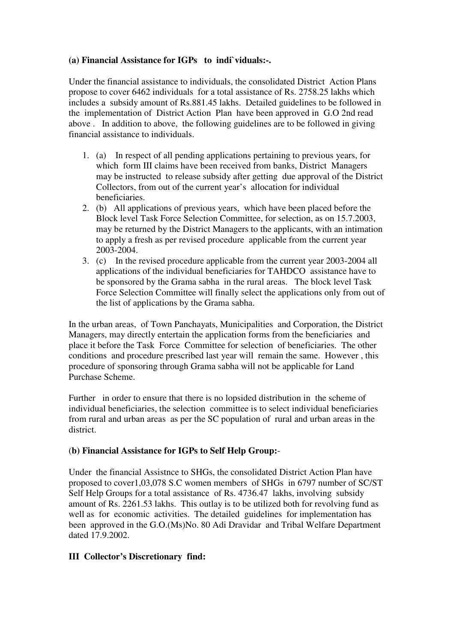#### **(a) Financial Assistance for IGPs to indi`viduals:-.**

Under the financial assistance to individuals, the consolidated District Action Plans propose to cover 6462 individuals for a total assistance of Rs. 2758.25 lakhs which includes a subsidy amount of Rs.881.45 lakhs. Detailed guidelines to be followed in the implementation of District Action Plan have been approved in G.O 2nd read above . In addition to above, the following guidelines are to be followed in giving financial assistance to individuals.

- 1. (a) In respect of all pending applications pertaining to previous years, for which form III claims have been received from banks, District Managers may be instructed to release subsidy after getting due approval of the District Collectors, from out of the current year's allocation for individual beneficiaries.
- 2. (b) All applications of previous years, which have been placed before the Block level Task Force Selection Committee, for selection, as on 15.7.2003, may be returned by the District Managers to the applicants, with an intimation to apply a fresh as per revised procedure applicable from the current year 2003-2004.
- 3. (c) In the revised procedure applicable from the current year 2003-2004 all applications of the individual beneficiaries for TAHDCO assistance have to be sponsored by the Grama sabha in the rural areas. The block level Task Force Selection Committee will finally select the applications only from out of the list of applications by the Grama sabha.

In the urban areas, of Town Panchayats, Municipalities and Corporation, the District Managers, may directly entertain the application forms from the beneficiaries and place it before the Task Force Committee for selection of beneficiaries. The other conditions and procedure prescribed last year will remain the same. However , this procedure of sponsoring through Grama sabha will not be applicable for Land Purchase Scheme.

Further in order to ensure that there is no lopsided distribution in the scheme of individual beneficiaries, the selection committee is to select individual beneficiaries from rural and urban areas as per the SC population of rural and urban areas in the district.

#### (**b) Financial Assistance for IGPs to Self Help Group:**-

Under the financial Assistnce to SHGs, the consolidated District Action Plan have proposed to cover1,03,078 S.C women members of SHGs in 6797 number of SC/ST Self Help Groups for a total assistance of Rs. 4736.47 lakhs, involving subsidy amount of Rs. 2261.53 lakhs. This outlay is to be utilized both for revolving fund as well as for economic activities. The detailed guidelines for implementation has been approved in the G.O.(Ms)No. 80 Adi Dravidar and Tribal Welfare Department dated 17.9.2002.

### **III Collector's Discretionary find:**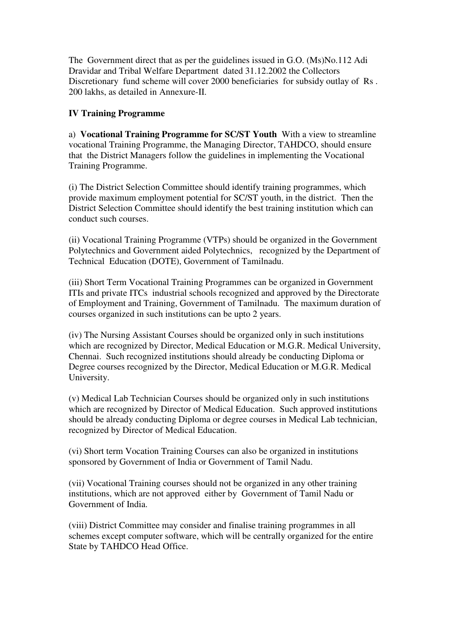The Government direct that as per the guidelines issued in G.O. (Ms)No.112 Adi Dravidar and Tribal Welfare Department dated 31.12.2002 the Collectors Discretionary fund scheme will cover 2000 beneficiaries for subsidy outlay of Rs . 200 lakhs, as detailed in Annexure-II.

## **IV Training Programme**

a) **Vocational Training Programme for SC/ST Youth** With a view to streamline vocational Training Programme, the Managing Director, TAHDCO, should ensure that the District Managers follow the guidelines in implementing the Vocational Training Programme.

(i) The District Selection Committee should identify training programmes, which provide maximum employment potential for SC/ST youth, in the district. Then the District Selection Committee should identify the best training institution which can conduct such courses.

(ii) Vocational Training Programme (VTPs) should be organized in the Government Polytechnics and Government aided Polytechnics, recognized by the Department of Technical Education (DOTE), Government of Tamilnadu.

(iii) Short Term Vocational Training Programmes can be organized in Government ITIs and private ITCs industrial schools recognized and approved by the Directorate of Employment and Training, Government of Tamilnadu. The maximum duration of courses organized in such institutions can be upto 2 years.

(iv) The Nursing Assistant Courses should be organized only in such institutions which are recognized by Director, Medical Education or M.G.R. Medical University, Chennai. Such recognized institutions should already be conducting Diploma or Degree courses recognized by the Director, Medical Education or M.G.R. Medical University.

(v) Medical Lab Technician Courses should be organized only in such institutions which are recognized by Director of Medical Education. Such approved institutions should be already conducting Diploma or degree courses in Medical Lab technician, recognized by Director of Medical Education.

(vi) Short term Vocation Training Courses can also be organized in institutions sponsored by Government of India or Government of Tamil Nadu.

(vii) Vocational Training courses should not be organized in any other training institutions, which are not approved either by Government of Tamil Nadu or Government of India.

(viii) District Committee may consider and finalise training programmes in all schemes except computer software, which will be centrally organized for the entire State by TAHDCO Head Office.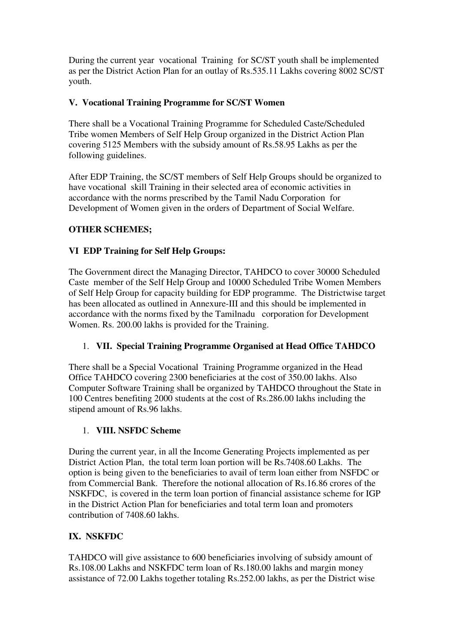During the current year vocational Training for SC/ST youth shall be implemented as per the District Action Plan for an outlay of Rs.535.11 Lakhs covering 8002 SC/ST youth.

## **V. Vocational Training Programme for SC/ST Women**

There shall be a Vocational Training Programme for Scheduled Caste/Scheduled Tribe women Members of Self Help Group organized in the District Action Plan covering 5125 Members with the subsidy amount of Rs.58.95 Lakhs as per the following guidelines.

After EDP Training, the SC/ST members of Self Help Groups should be organized to have vocational skill Training in their selected area of economic activities in accordance with the norms prescribed by the Tamil Nadu Corporation for Development of Women given in the orders of Department of Social Welfare.

## **OTHER SCHEMES;**

## **VI EDP Training for Self Help Groups:**

The Government direct the Managing Director, TAHDCO to cover 30000 Scheduled Caste member of the Self Help Group and 10000 Scheduled Tribe Women Members of Self Help Group for capacity building for EDP programme. The Districtwise target has been allocated as outlined in Annexure-III and this should be implemented in accordance with the norms fixed by the Tamilnadu corporation for Development Women. Rs. 200.00 lakhs is provided for the Training.

### 1. **VII. Special Training Programme Organised at Head Office TAHDCO**

There shall be a Special Vocational Training Programme organized in the Head Office TAHDCO covering 2300 beneficiaries at the cost of 350.00 lakhs. Also Computer Software Training shall be organized by TAHDCO throughout the State in 100 Centres benefiting 2000 students at the cost of Rs.286.00 lakhs including the stipend amount of Rs.96 lakhs.

### 1. **VIII. NSFDC Scheme**

During the current year, in all the Income Generating Projects implemented as per District Action Plan, the total term loan portion will be Rs.7408.60 Lakhs. The option is being given to the beneficiaries to avail of term loan either from NSFDC or from Commercial Bank. Therefore the notional allocation of Rs.16.86 crores of the NSKFDC, is covered in the term loan portion of financial assistance scheme for IGP in the District Action Plan for beneficiaries and total term loan and promoters contribution of 7408.60 lakhs.

## **IX. NSKFDC**

TAHDCO will give assistance to 600 beneficiaries involving of subsidy amount of Rs.108.00 Lakhs and NSKFDC term loan of Rs.180.00 lakhs and margin money assistance of 72.00 Lakhs together totaling Rs.252.00 lakhs, as per the District wise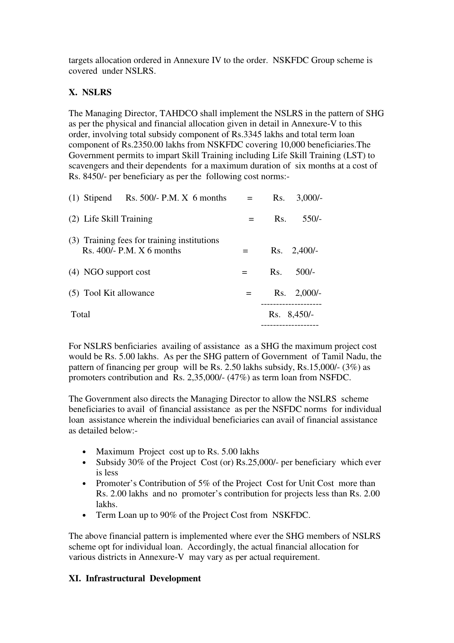targets allocation ordered in Annexure IV to the order. NSKFDC Group scheme is covered under NSLRS.

## **X. NSLRS**

The Managing Director, TAHDCO shall implement the NSLRS in the pattern of SHG as per the physical and financial allocation given in detail in Annexure-V to this order, involving total subsidy component of Rs.3345 lakhs and total term loan component of Rs.2350.00 lakhs from NSKFDC covering 10,000 beneficiaries.The Government permits to impart Skill Training including Life Skill Training (LST) to scavengers and their dependents for a maximum duration of six months at a cost of Rs. 8450/- per beneficiary as per the following cost norms:-

| $(1)$ Stipend Rs. 500/- P.M. X 6 months                                    |     | Rs. | $3,000/-$          |
|----------------------------------------------------------------------------|-----|-----|--------------------|
| (2) Life Skill Training                                                    | $=$ | Rs. | $550/-$            |
| (3) Training fees for training institutions<br>Rs. $400/- P.M. X 6 months$ |     |     | $Rs. \quad 2,400/$ |
| (4) NGO support cost                                                       | $=$ | Rs. | $500/-$            |
| (5) Tool Kit allowance                                                     | $=$ | Rs. | $2,000/-$          |
| Total                                                                      |     |     | $Rs. 8,450/-$      |

For NSLRS benficiaries availing of assistance as a SHG the maximum project cost would be Rs. 5.00 lakhs. As per the SHG pattern of Government of Tamil Nadu, the pattern of financing per group will be Rs. 2.50 lakhs subsidy, Rs.15,000/- (3%) as promoters contribution and Rs. 2,35,000/- (47%) as term loan from NSFDC.

The Government also directs the Managing Director to allow the NSLRS scheme beneficiaries to avail of financial assistance as per the NSFDC norms for individual loan assistance wherein the individual beneficiaries can avail of financial assistance as detailed below:-

- Maximum Project cost up to Rs. 5.00 lakhs
- Subsidy 30% of the Project Cost (or) Rs.25,000/- per beneficiary which ever is less
- Promoter's Contribution of 5% of the Project Cost for Unit Cost more than Rs. 2.00 lakhs and no promoter's contribution for projects less than Rs. 2.00 lakhs.
- Term Loan up to 90% of the Project Cost from NSKFDC.

The above financial pattern is implemented where ever the SHG members of NSLRS scheme opt for individual loan. Accordingly, the actual financial allocation for various districts in Annexure-V may vary as per actual requirement.

### **XI. Infrastructural Development**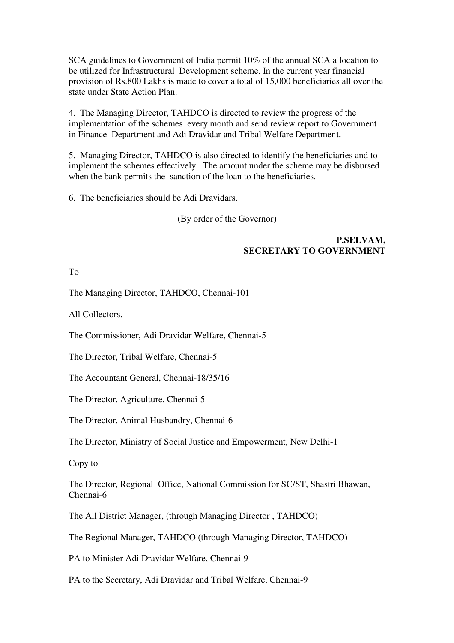SCA guidelines to Government of India permit 10% of the annual SCA allocation to be utilized for Infrastructural Development scheme. In the current year financial provision of Rs.800 Lakhs is made to cover a total of 15,000 beneficiaries all over the state under State Action Plan.

4. The Managing Director, TAHDCO is directed to review the progress of the implementation of the schemes every month and send review report to Government in Finance Department and Adi Dravidar and Tribal Welfare Department.

5. Managing Director, TAHDCO is also directed to identify the beneficiaries and to implement the schemes effectively. The amount under the scheme may be disbursed when the bank permits the sanction of the loan to the beneficiaries.

6. The beneficiaries should be Adi Dravidars.

(By order of the Governor)

#### **P.SELVAM, SECRETARY TO GOVERNMENT**

To

The Managing Director, TAHDCO, Chennai-101

All Collectors,

The Commissioner, Adi Dravidar Welfare, Chennai-5

The Director, Tribal Welfare, Chennai-5

The Accountant General, Chennai-18/35/16

The Director, Agriculture, Chennai-5

The Director, Animal Husbandry, Chennai-6

The Director, Ministry of Social Justice and Empowerment, New Delhi-1

Copy to

The Director, Regional Office, National Commission for SC/ST, Shastri Bhawan, Chennai-6

The All District Manager, (through Managing Director , TAHDCO)

The Regional Manager, TAHDCO (through Managing Director, TAHDCO)

PA to Minister Adi Dravidar Welfare, Chennai-9

PA to the Secretary, Adi Dravidar and Tribal Welfare, Chennai-9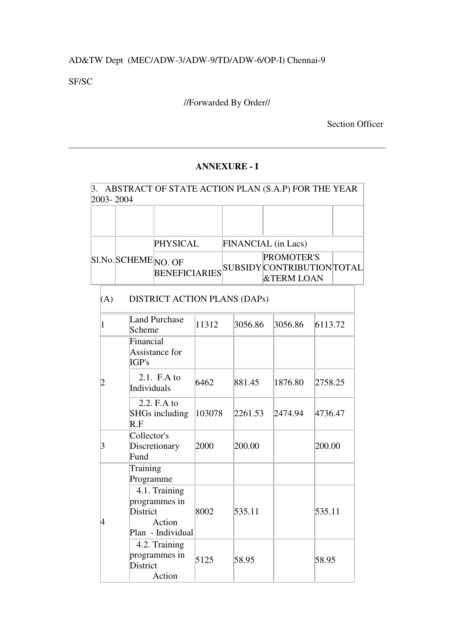# AD&TW Dept (MEC/ADW-3/ADW-9/TD/ADW-6/OP-I) Chennai-9

SF/SC

# //Forwarded By Order//

## Section Officer

## **ANNEXURE - I**

| 3.             |     | 2003-2004                            |                                                                           |        |                     |         | ABSTRACT OF STATE ACTION PLAN (S.A.P) FOR THE YEAR                       |         |  |
|----------------|-----|--------------------------------------|---------------------------------------------------------------------------|--------|---------------------|---------|--------------------------------------------------------------------------|---------|--|
|                |     |                                      |                                                                           |        |                     |         |                                                                          |         |  |
|                |     |                                      | <b>PHYSICAL</b><br><b>BENEFICIARIES</b>                                   |        | FINANCIAL (in Lacs) |         |                                                                          |         |  |
|                |     | Sl.No.SCHEME <sub>NO. OF</sub>       |                                                                           |        |                     |         | <b>PROMOTER'S</b><br>SUBSIDY CONTRIBUTION TOTAL<br><b>&amp;TERM LOAN</b> |         |  |
|                | (A) | <b>DISTRICT ACTION PLANS (DAPs)</b>  |                                                                           |        |                     |         |                                                                          |         |  |
|                | 1   | Scheme                               | <b>Land Purchase</b>                                                      | 11312  | 3056.86             |         | 3056.86                                                                  | 6113.72 |  |
|                |     | Financial<br>Assistance for<br>IGP's |                                                                           |        |                     |         |                                                                          |         |  |
| $\overline{2}$ |     | Individuals                          | 2.1. $F.A$ to                                                             | 6462   |                     | 881.45  | 1876.80                                                                  | 2758.25 |  |
|                |     | R.F                                  | 2.2. F.A to<br><b>SHGs including</b>                                      | 103078 |                     | 2261.53 | 2474.94                                                                  | 4736.47 |  |
| $\overline{3}$ |     | Collector's<br>Fund                  | Discretionary                                                             | 2000   |                     | 200.00  |                                                                          | 200.00  |  |
|                |     | Training<br>Programme                |                                                                           |        |                     |         |                                                                          |         |  |
|                | 4   |                                      | 4.1. Training<br>programmes in<br>District<br>Action<br>Plan - Individual |        | 535.11              |         |                                                                          | 535.11  |  |
|                |     | District                             | 4.2. Training<br>programmes in<br>Action                                  | 5125   | 58.95               |         |                                                                          | 58.95   |  |